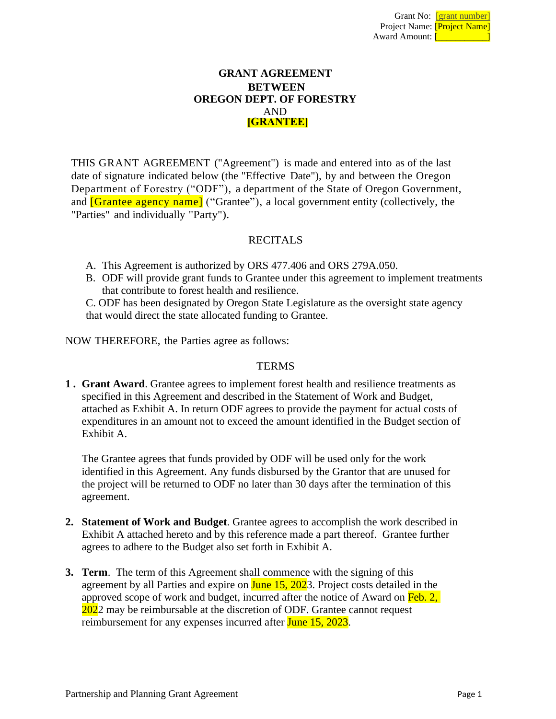# **GRANT AGREEMENT BETWEEN OREGON DEPT. OF FORESTRY** AND **[GRANTEE]**

THIS GRANT AGREEMENT ("Agreement") is made and entered into as of the last date of signature indicated below (the "Effective Date"), by and between the Oregon Department of Forestry ("ODF"), a department of the State of Oregon Government, and **[Grantee agency name]** ("Grantee"), a local government entity (collectively, the "Parties" and individually "Party").

# **RECITALS**

- A. This Agreement is authorized by ORS 477.406 and ORS 279A.050.
- B. ODF will provide grant funds to Grantee under this agreement to implement treatments that contribute to forest health and resilience.

C. ODF has been designated by Oregon State Legislature as the oversight state agency that would direct the state allocated funding to Grantee.

NOW THEREFORE, the Parties agree as follows:

### **TERMS**

**1 . Grant Award**. Grantee agrees to implement forest health and resilience treatments as specified in this Agreement and described in the Statement of Work and Budget, attached as Exhibit A. In return ODF agrees to provide the payment for actual costs of expenditures in an amount not to exceed the amount identified in the Budget section of Exhibit A.

The Grantee agrees that funds provided by ODF will be used only for the work identified in this Agreement. Any funds disbursed by the Grantor that are unused for the project will be returned to ODF no later than 30 days after the termination of this agreement.

- **2. Statement of Work and Budget**. Grantee agrees to accomplish the work described in Exhibit A attached hereto and by this reference made a part thereof. Grantee further agrees to adhere to the Budget also set forth in Exhibit A.
- **3. Term**. The term of this Agreement shall commence with the signing of this agreement by all Parties and expire on **June 15, 202**3. Project costs detailed in the approved scope of work and budget, incurred after the notice of Award on Feb. 2, 2022 may be reimbursable at the discretion of ODF. Grantee cannot request reimbursement for any expenses incurred after June 15, 2023.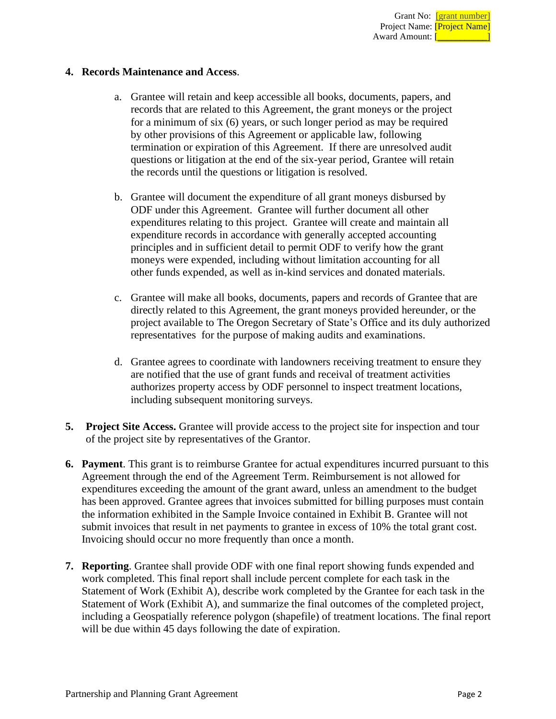### **4. Records Maintenance and Access**.

- a. Grantee will retain and keep accessible all books, documents, papers, and records that are related to this Agreement, the grant moneys or the project for a minimum of six (6) years, or such longer period as may be required by other provisions of this Agreement or applicable law, following termination or expiration of this Agreement. If there are unresolved audit questions or litigation at the end of the six-year period, Grantee will retain the records until the questions or litigation is resolved.
- b. Grantee will document the expenditure of all grant moneys disbursed by ODF under this Agreement. Grantee will further document all other expenditures relating to this project. Grantee will create and maintain all expenditure records in accordance with generally accepted accounting principles and in sufficient detail to permit ODF to verify how the grant moneys were expended, including without limitation accounting for all other funds expended, as well as in-kind services and donated materials.
- c. Grantee will make all books, documents, papers and records of Grantee that are directly related to this Agreement, the grant moneys provided hereunder, or the project available to The Oregon Secretary of State's Office and its duly authorized representatives for the purpose of making audits and examinations.
- d. Grantee agrees to coordinate with landowners receiving treatment to ensure they are notified that the use of grant funds and receival of treatment activities authorizes property access by ODF personnel to inspect treatment locations, including subsequent monitoring surveys.
- **5. Project Site Access.** Grantee will provide access to the project site for inspection and tour of the project site by representatives of the Grantor.
- **6. Payment**. This grant is to reimburse Grantee for actual expenditures incurred pursuant to this Agreement through the end of the Agreement Term. Reimbursement is not allowed for expenditures exceeding the amount of the grant award, unless an amendment to the budget has been approved. Grantee agrees that invoices submitted for billing purposes must contain the information exhibited in the Sample Invoice contained in Exhibit B. Grantee will not submit invoices that result in net payments to grantee in excess of 10% the total grant cost. Invoicing should occur no more frequently than once a month.
- **7. Reporting**. Grantee shall provide ODF with one final report showing funds expended and work completed. This final report shall include percent complete for each task in the Statement of Work (Exhibit A), describe work completed by the Grantee for each task in the Statement of Work (Exhibit A), and summarize the final outcomes of the completed project, including a Geospatially reference polygon (shapefile) of treatment locations. The final report will be due within 45 days following the date of expiration.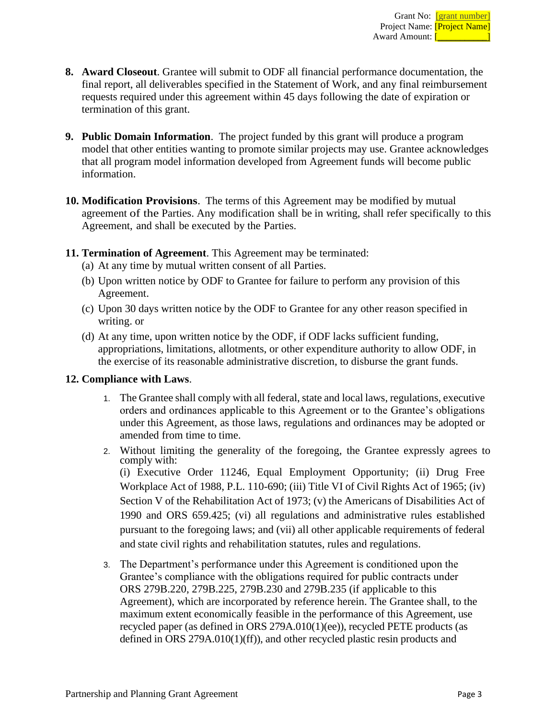- **8. Award Closeout**. Grantee will submit to ODF all financial performance documentation, the final report, all deliverables specified in the Statement of Work, and any final reimbursement requests required under this agreement within 45 days following the date of expiration or termination of this grant.
- **9. Public Domain Information**. The project funded by this grant will produce a program model that other entities wanting to promote similar projects may use. Grantee acknowledges that all program model information developed from Agreement funds will become public information.
- **10. Modification Provisions**. The terms of this Agreement may be modified by mutual agreement of the Parties. Any modification shall be in writing, shall refer specifically to this Agreement, and shall be executed by the Parties.
- **11. Termination of Agreement**. This Agreement may be terminated:
	- (a) At any time by mutual written consent of all Parties.
	- (b) Upon written notice by ODF to Grantee for failure to perform any provision of this Agreement.
	- (c) Upon 30 days written notice by the ODF to Grantee for any other reason specified in writing. or
	- (d) At any time, upon written notice by the ODF, if ODF lacks sufficient funding, appropriations, limitations, allotments, or other expenditure authority to allow ODF, in the exercise of its reasonable administrative discretion, to disburse the grant funds.

### **12. Compliance with Laws**.

- 1. The Grantee shall comply with all federal, state and local laws, regulations, executive orders and ordinances applicable to this Agreement or to the Grantee's obligations under this Agreement, as those laws, regulations and ordinances may be adopted or amended from time to time.
- 2. Without limiting the generality of the foregoing, the Grantee expressly agrees to comply with: (i) Executive Order 11246, Equal Employment Opportunity; (ii) Drug Free Workplace Act of 1988, P.L. 110-690; (iii) Title VI of Civil Rights Act of 1965; (iv) Section V of the Rehabilitation Act of 1973; (v) the Americans of Disabilities Act of 1990 and ORS 659.425; (vi) all regulations and administrative rules established pursuant to the foregoing laws; and (vii) all other applicable requirements of federal and state civil rights and rehabilitation statutes, rules and regulations.
- 3. The Department's performance under this Agreement is conditioned upon the Grantee's compliance with the obligations required for public contracts under ORS 279B.220, 279B.225, 279B.230 and 279B.235 (if applicable to this Agreement), which are incorporated by reference herein. The Grantee shall, to the maximum extent economically feasible in the performance of this Agreement, use recycled paper (as defined in ORS 279A.010(1)(ee)), recycled PETE products (as defined in ORS 279A.010(1)(ff)), and other recycled plastic resin products and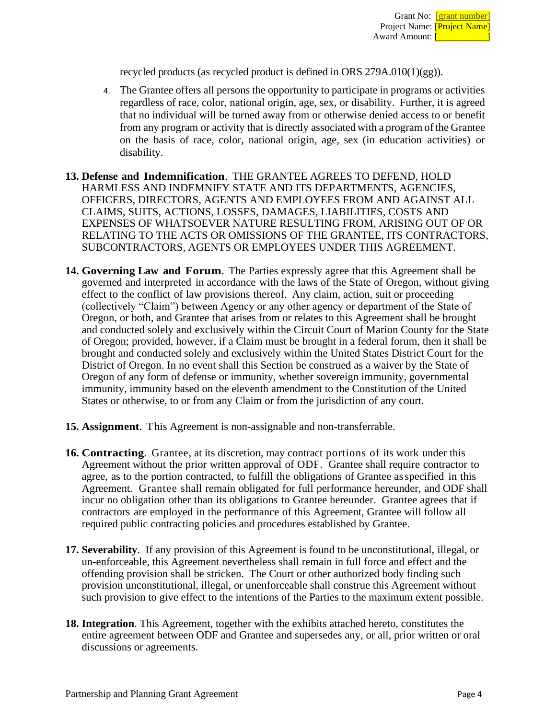recycled products (as recycled product is defined in ORS  $279A.010(1)(gg)$ ).

- 4. The Grantee offers all persons the opportunity to participate in programs or activities regardless of race, color, national origin, age, sex, or disability. Further, it is agreed that no individual will be turned away from or otherwise denied access to or benefit from any program or activity that is directly associated with a program of the Grantee on the basis of race, color, national origin, age, sex (in education activities) or disability.
- **13. Defense and Indemnification**. THE GRANTEE AGREES TO DEFEND, HOLD HARMLESS AND INDEMNIFY STATE AND ITS DEPARTMENTS, AGENCIES, OFFICERS, DIRECTORS, AGENTS AND EMPLOYEES FROM AND AGAINST ALL CLAIMS, SUITS, ACTIONS, LOSSES, DAMAGES, LIABILITIES, COSTS AND EXPENSES OF WHATSOEVER NATURE RESULTING FROM, ARISING OUT OF OR RELATING TO THE ACTS OR OMISSIONS OF THE GRANTEE, ITS CONTRACTORS, SUBCONTRACTORS, AGENTS OR EMPLOYEES UNDER THIS AGREEMENT.
- **14. Governing Law and Forum**. The Parties expressly agree that this Agreement shall be governed and interpreted in accordance with the laws of the State of Oregon, without giving effect to the conflict of law provisions thereof. Any claim, action, suit or proceeding (collectively "Claim") between Agency or any other agency or department of the State of Oregon, or both, and Grantee that arises from or relates to this Agreement shall be brought and conducted solely and exclusively within the Circuit Court of Marion County for the State of Oregon; provided, however, if a Claim must be brought in a federal forum, then it shall be brought and conducted solely and exclusively within the United States District Court for the District of Oregon. In no event shall this Section be construed as a waiver by the State of Oregon of any form of defense or immunity, whether sovereign immunity, governmental immunity, immunity based on the eleventh amendment to the Constitution of the United States or otherwise, to or from any Claim or from the jurisdiction of any court.
- **15. Assignment**. This Agreement is non-assignable and non-transferrable.
- **16. Contracting**. Grantee, at its discretion, may contract portions of its work under this Agreement without the prior written approval of ODF. Grantee shall require contractor to agree, as to the portion contracted, to fulfill the obligations of Grantee asspecified in this Agreement. Grantee shall remain obligated for full performance hereunder, and ODF shall incur no obligation other than its obligations to Grantee hereunder. Grantee agrees that if contractors are employed in the performance of this Agreement, Grantee will follow all required public contracting policies and procedures established by Grantee.
- **17. Severability**. If any provision of this Agreement is found to be unconstitutional, illegal, or un-enforceable, this Agreement nevertheless shall remain in full force and effect and the offending provision shall be stricken. The Court or other authorized body finding such provision unconstitutional, illegal, or unenforceable shall construe this Agreement without such provision to give effect to the intentions of the Parties to the maximum extent possible.
- **18. Integration**. This Agreement, together with the exhibits attached hereto, constitutes the entire agreement between ODF and Grantee and supersedes any, or all, prior written or oral discussions or agreements.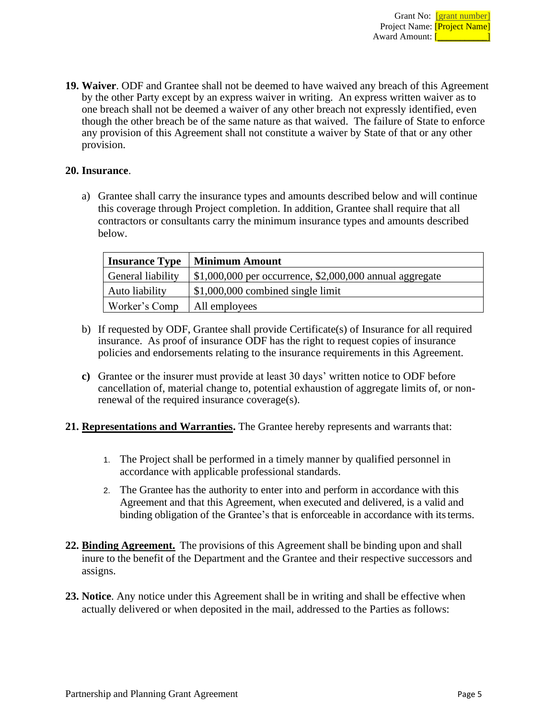**19. Waiver**. ODF and Grantee shall not be deemed to have waived any breach of this Agreement by the other Party except by an express waiver in writing. An express written waiver as to one breach shall not be deemed a waiver of any other breach not expressly identified, even though the other breach be of the same nature as that waived. The failure of State to enforce any provision of this Agreement shall not constitute a waiver by State of that or any other provision.

# **20. Insurance**.

a) Grantee shall carry the insurance types and amounts described below and will continue this coverage through Project completion. In addition, Grantee shall require that all contractors or consultants carry the minimum insurance types and amounts described below.

| <b>Insurance Type</b> | <b>Minimum Amount</b>                                      |
|-----------------------|------------------------------------------------------------|
| General liability     | $$1,000,000$ per occurrence, $$2,000,000$ annual aggregate |
| Auto liability        | $$1,000,000$ combined single limit                         |
| Worker's Comp         | All employees                                              |

- b) If requested by ODF, Grantee shall provide Certificate(s) of Insurance for all required insurance. As proof of insurance ODF has the right to request copies of insurance policies and endorsements relating to the insurance requirements in this Agreement.
- **c)** Grantee or the insurer must provide at least 30 days' written notice to ODF before cancellation of, material change to, potential exhaustion of aggregate limits of, or nonrenewal of the required insurance coverage(s).
- **21. Representations and Warranties.** The Grantee hereby represents and warrants that:
	- 1. The Project shall be performed in a timely manner by qualified personnel in accordance with applicable professional standards.
	- 2. The Grantee has the authority to enter into and perform in accordance with this Agreement and that this Agreement, when executed and delivered, is a valid and binding obligation of the Grantee's that is enforceable in accordance with its terms.
- **22. Binding Agreement.** The provisions of this Agreement shall be binding upon and shall inure to the benefit of the Department and the Grantee and their respective successors and assigns.
- **23. Notice**. Any notice under this Agreement shall be in writing and shall be effective when actually delivered or when deposited in the mail, addressed to the Parties as follows: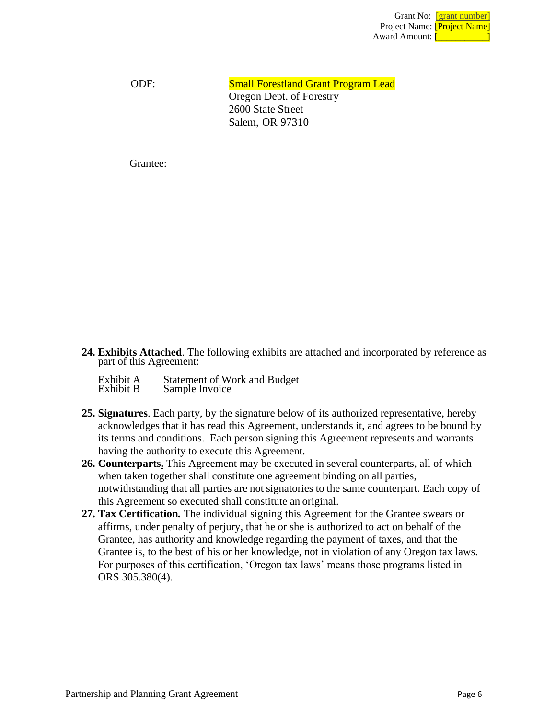ODF: Small Forestland Grant Program Lead Oregon Dept. of Forestry 2600 State Street Salem, OR 97310

Grantee:

- **24. Exhibits Attached**. The following exhibits are attached and incorporated by reference as part of this Agreement:
	- Exhibit A Statement of Work and Budget<br>Exhibit B Sample Invoice Sample Invoice
- **25. Signatures**. Each party, by the signature below of its authorized representative, hereby acknowledges that it has read this Agreement, understands it, and agrees to be bound by its terms and conditions. Each person signing this Agreement represents and warrants having the authority to execute this Agreement.
- **26. Counterparts.** This Agreement may be executed in several counterparts, all of which when taken together shall constitute one agreement binding on all parties, notwithstanding that all parties are not signatories to the same counterpart. Each copy of this Agreement so executed shall constitute an original.
- **27. Tax Certification***.* The individual signing this Agreement for the Grantee swears or affirms, under penalty of perjury, that he or she is authorized to act on behalf of the Grantee, has authority and knowledge regarding the payment of taxes, and that the Grantee is, to the best of his or her knowledge, not in violation of any Oregon tax laws. For purposes of this certification, 'Oregon tax laws' means those programs listed in ORS 305.380(4).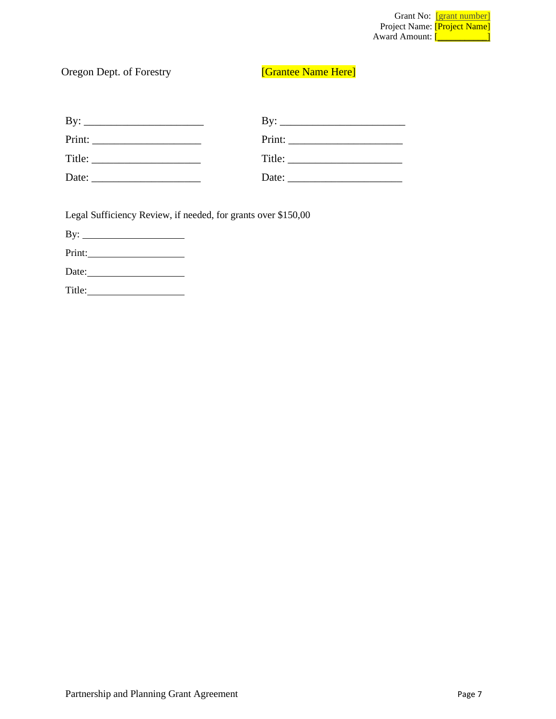|                                     | Grant No: [grant number] |
|-------------------------------------|--------------------------|
| Project Name: <i>[Project Name]</i> |                          |
| Award Amount:                       |                          |

# Oregon Dept. of Forestry **[Grantee Name Here]**

| $Print: ____________$                                                                              | Print:                                                                                                                                                                                                                         |
|----------------------------------------------------------------------------------------------------|--------------------------------------------------------------------------------------------------------------------------------------------------------------------------------------------------------------------------------|
| Title:                                                                                             |                                                                                                                                                                                                                                |
| Date:<br>the control of the control of the control of the control of the control of the control of | Date: the contract of the contract of the contract of the contract of the contract of the contract of the contract of the contract of the contract of the contract of the contract of the contract of the contract of the cont |

Legal Sufficiency Review, if needed, for grants over \$150,00

By:

Print:

Date:

Title: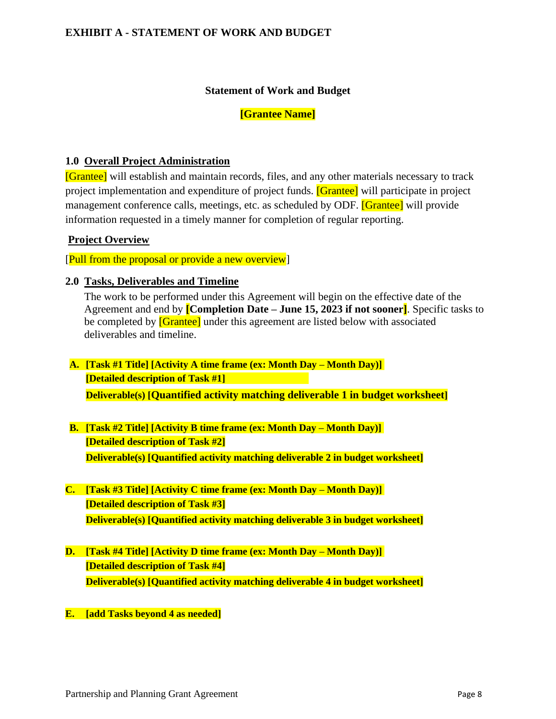# **EXHIBIT A - STATEMENT OF WORK AND BUDGET**

#### **Statement of Work and Budget**

#### **[Grantee Name]**

#### **1.0 Overall Project Administration**

[Grantee] will establish and maintain records, files, and any other materials necessary to track project implementation and expenditure of project funds. [Grantee] will participate in project management conference calls, meetings, etc. as scheduled by ODF. **[Grantee]** will provide information requested in a timely manner for completion of regular reporting.

### **Project Overview**

[Pull from the proposal or provide a new overview]

#### **2.0 Tasks, Deliverables and Timeline**

The work to be performed under this Agreement will begin on the effective date of the Agreement and end by **[Completion Date – June 15, 2023 if not sooner]**. Specific tasks to be completed by **[Grantee]** under this agreement are listed below with associated deliverables and timeline.

- **A. [Task #1 Title] [Activity A time frame (ex: Month Day – Month Day)] [Detailed description of Task #1] Deliverable(s) [Quantified activity matching deliverable 1 in budget worksheet]**
- **B. [Task #2 Title] [Activity B time frame (ex: Month Day – Month Day)] [Detailed description of Task #2] Deliverable(s) [Quantified activity matching deliverable 2 in budget worksheet]**
- **C. [Task #3 Title] [Activity C time frame (ex: Month Day – Month Day)] [Detailed description of Task #3] Deliverable(s) [Quantified activity matching deliverable 3 in budget worksheet]**
- **D. [Task #4 Title] [Activity D time frame (ex: Month Day – Month Day)] [Detailed description of Task #4] Deliverable(s) [Quantified activity matching deliverable 4 in budget worksheet]**
- **E. [add Tasks beyond 4 as needed]**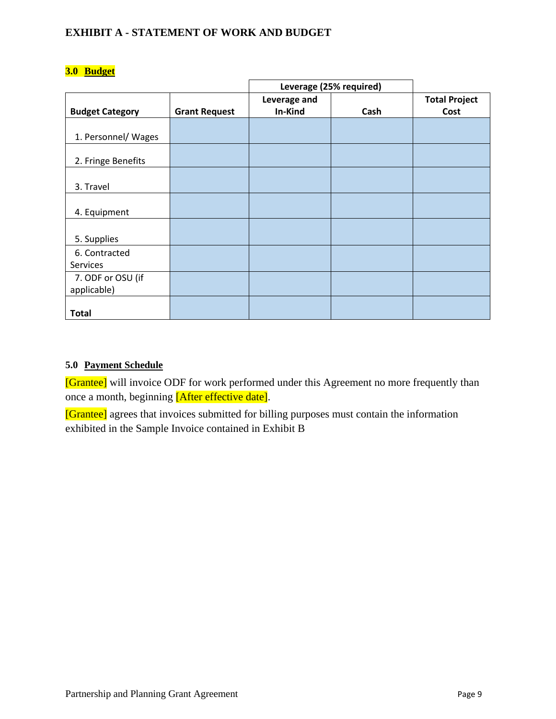# **EXHIBIT A - STATEMENT OF WORK AND BUDGET**

|                        |                      | Leverage (25% required) |      |                      |
|------------------------|----------------------|-------------------------|------|----------------------|
|                        |                      | Leverage and            |      | <b>Total Project</b> |
| <b>Budget Category</b> | <b>Grant Request</b> | In-Kind                 | Cash | Cost                 |
|                        |                      |                         |      |                      |
| 1. Personnel/ Wages    |                      |                         |      |                      |
|                        |                      |                         |      |                      |
| 2. Fringe Benefits     |                      |                         |      |                      |
|                        |                      |                         |      |                      |
| 3. Travel              |                      |                         |      |                      |
|                        |                      |                         |      |                      |
| 4. Equipment           |                      |                         |      |                      |
|                        |                      |                         |      |                      |
| 5. Supplies            |                      |                         |      |                      |
| 6. Contracted          |                      |                         |      |                      |
| Services               |                      |                         |      |                      |
| 7. ODF or OSU (if      |                      |                         |      |                      |
| applicable)            |                      |                         |      |                      |
|                        |                      |                         |      |                      |
| <b>Total</b>           |                      |                         |      |                      |

# **3.0 Budget**

## **5.0 Payment Schedule**

[Grantee] will invoice ODF for work performed under this Agreement no more frequently than once a month, beginning [After effective date].

[Grantee] agrees that invoices submitted for billing purposes must contain the information exhibited in the Sample Invoice contained in Exhibit B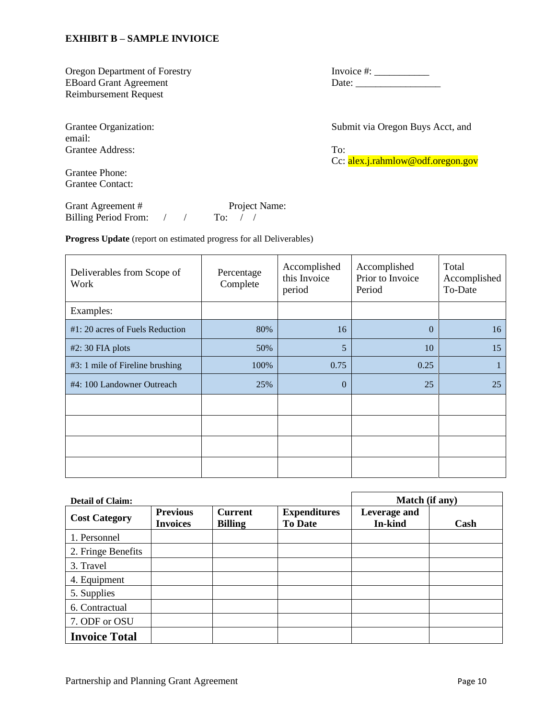#### **EXHIBIT B – SAMPLE INVIOICE**

Oregon Department of Forestry Invoice #: \_\_\_\_\_\_\_\_\_\_\_ Reimbursement Request

email: Grantee Address: To:

Grantee Phone: Grantee Contact:

Grant Agreement # Project Name: Billing Period From: / / To: / /

**Progress Update** (report on estimated progress for all Deliverables)

| Deliverables from Scope of<br>Work | Percentage<br>Complete | Accomplished<br>this Invoice<br>period | Accomplished<br>Prior to Invoice<br>Period | Total<br>Accomplished<br>To-Date |
|------------------------------------|------------------------|----------------------------------------|--------------------------------------------|----------------------------------|
| Examples:                          |                        |                                        |                                            |                                  |
| $#1: 20$ acres of Fuels Reduction  | 80%                    | 16                                     | $\theta$                                   | 16                               |
| $#2: 30$ FIA plots                 | 50%                    | 5                                      | 10                                         | 15                               |
| #3: 1 mile of Fireline brushing    | 100%                   | 0.75                                   | 0.25                                       |                                  |
| #4: 100 Landowner Outreach         | 25%                    | $\overline{0}$                         | 25                                         | 25                               |
|                                    |                        |                                        |                                            |                                  |
|                                    |                        |                                        |                                            |                                  |
|                                    |                        |                                        |                                            |                                  |
|                                    |                        |                                        |                                            |                                  |

| <b>Detail of Claim:</b> |                                    |                                  | Match (if any)                        |                         |      |
|-------------------------|------------------------------------|----------------------------------|---------------------------------------|-------------------------|------|
| <b>Cost Category</b>    | <b>Previous</b><br><b>Invoices</b> | <b>Current</b><br><b>Billing</b> | <b>Expenditures</b><br><b>To Date</b> | Leverage and<br>In-kind | Cash |
| 1. Personnel            |                                    |                                  |                                       |                         |      |
| 2. Fringe Benefits      |                                    |                                  |                                       |                         |      |
| 3. Travel               |                                    |                                  |                                       |                         |      |
| 4. Equipment            |                                    |                                  |                                       |                         |      |
| 5. Supplies             |                                    |                                  |                                       |                         |      |
| 6. Contractual          |                                    |                                  |                                       |                         |      |
| 7. ODF or OSU           |                                    |                                  |                                       |                         |      |
| <b>Invoice Total</b>    |                                    |                                  |                                       |                         |      |

EBoard Grant Agreement Date: \_\_\_\_\_\_\_\_\_\_\_\_\_\_\_\_\_

Grantee Organization: Submit via Oregon Buys Acct, and

Cc: alex.j.rahmlow@odf.oregon.gov